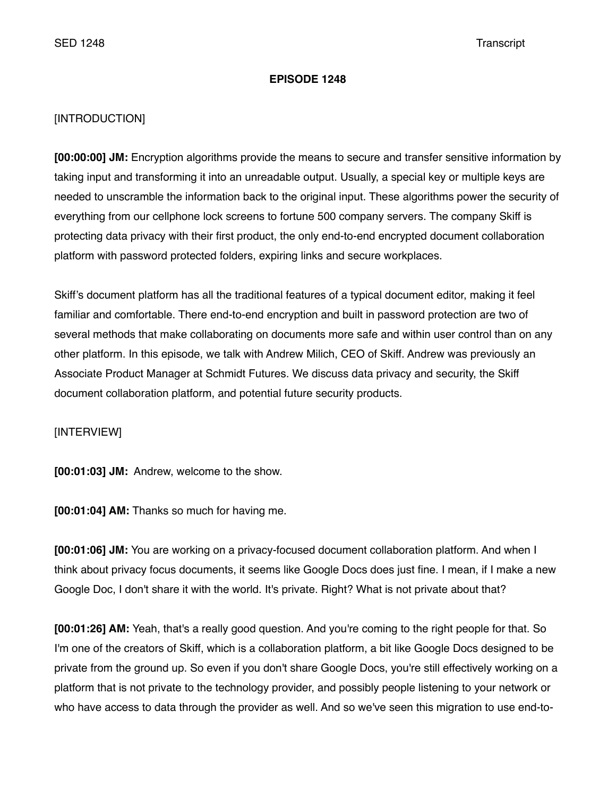### **EPISODE 1248**

# [INTRODUCTION]

**[00:00:00] JM:** Encryption algorithms provide the means to secure and transfer sensitive information by taking input and transforming it into an unreadable output. Usually, a special key or multiple keys are needed to unscramble the information back to the original input. These algorithms power the security of everything from our cellphone lock screens to fortune 500 company servers. The company Skiff is protecting data privacy with their first product, the only end-to-end encrypted document collaboration platform with password protected folders, expiring links and secure workplaces.

Skiff's document platform has all the traditional features of a typical document editor, making it feel familiar and comfortable. There end-to-end encryption and built in password protection are two of several methods that make collaborating on documents more safe and within user control than on any other platform. In this episode, we talk with Andrew Milich, CEO of Skiff. Andrew was previously an Associate Product Manager at Schmidt Futures. We discuss data privacy and security, the Skiff document collaboration platform, and potential future security products.

[INTERVIEW]

**[00:01:03] JM:** Andrew, welcome to the show.

**[00:01:04] AM:** Thanks so much for having me.

**[00:01:06] JM:** You are working on a privacy-focused document collaboration platform. And when I think about privacy focus documents, it seems like Google Docs does just fine. I mean, if I make a new Google Doc, I don't share it with the world. It's private. Right? What is not private about that?

**[00:01:26] AM:** Yeah, that's a really good question. And you're coming to the right people for that. So I'm one of the creators of Skiff, which is a collaboration platform, a bit like Google Docs designed to be private from the ground up. So even if you don't share Google Docs, you're still effectively working on a platform that is not private to the technology provider, and possibly people listening to your network or who have access to data through the provider as well. And so we've seen this migration to use end-to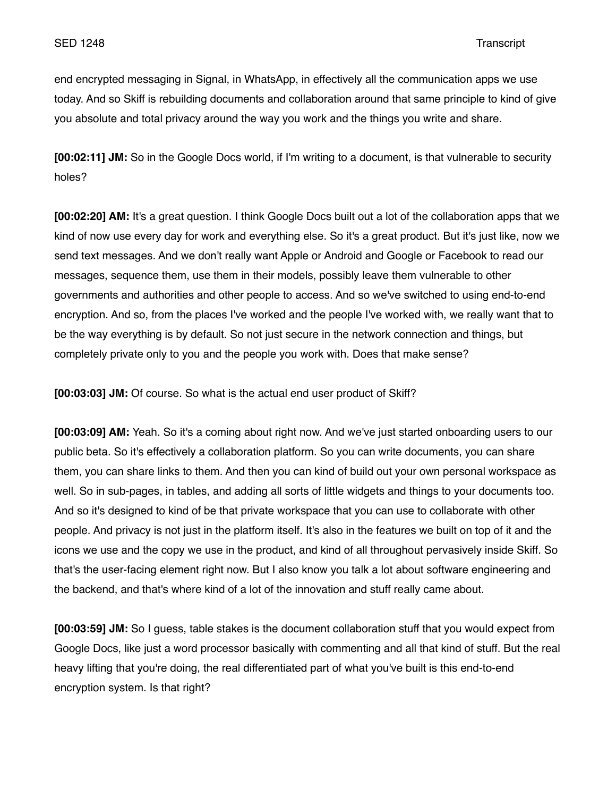end encrypted messaging in Signal, in WhatsApp, in effectively all the communication apps we use today. And so Skiff is rebuilding documents and collaboration around that same principle to kind of give you absolute and total privacy around the way you work and the things you write and share.

**[00:02:11] JM:** So in the Google Docs world, if I'm writing to a document, is that vulnerable to security holes?

**[00:02:20] AM:** It's a great question. I think Google Docs built out a lot of the collaboration apps that we kind of now use every day for work and everything else. So it's a great product. But it's just like, now we send text messages. And we don't really want Apple or Android and Google or Facebook to read our messages, sequence them, use them in their models, possibly leave them vulnerable to other governments and authorities and other people to access. And so we've switched to using end-to-end encryption. And so, from the places I've worked and the people I've worked with, we really want that to be the way everything is by default. So not just secure in the network connection and things, but completely private only to you and the people you work with. Does that make sense?

**[00:03:03] JM:** Of course. So what is the actual end user product of Skiff?

**[00:03:09] AM:** Yeah. So it's a coming about right now. And we've just started onboarding users to our public beta. So it's effectively a collaboration platform. So you can write documents, you can share them, you can share links to them. And then you can kind of build out your own personal workspace as well. So in sub-pages, in tables, and adding all sorts of little widgets and things to your documents too. And so it's designed to kind of be that private workspace that you can use to collaborate with other people. And privacy is not just in the platform itself. It's also in the features we built on top of it and the icons we use and the copy we use in the product, and kind of all throughout pervasively inside Skiff. So that's the user-facing element right now. But I also know you talk a lot about software engineering and the backend, and that's where kind of a lot of the innovation and stuff really came about.

**[00:03:59] JM:** So I guess, table stakes is the document collaboration stuff that you would expect from Google Docs, like just a word processor basically with commenting and all that kind of stuff. But the real heavy lifting that you're doing, the real differentiated part of what you've built is this end-to-end encryption system. Is that right?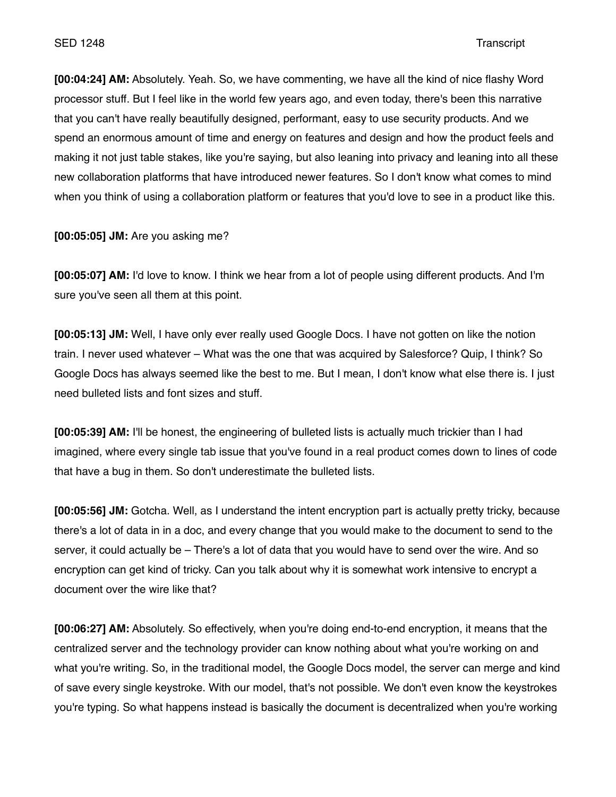**[00:04:24] AM:** Absolutely. Yeah. So, we have commenting, we have all the kind of nice flashy Word processor stuff. But I feel like in the world few years ago, and even today, there's been this narrative that you can't have really beautifully designed, performant, easy to use security products. And we spend an enormous amount of time and energy on features and design and how the product feels and making it not just table stakes, like you're saying, but also leaning into privacy and leaning into all these new collaboration platforms that have introduced newer features. So I don't know what comes to mind when you think of using a collaboration platform or features that you'd love to see in a product like this.

**[00:05:05] JM:** Are you asking me?

**[00:05:07] AM:** I'd love to know. I think we hear from a lot of people using different products. And I'm sure you've seen all them at this point.

**[00:05:13] JM:** Well, I have only ever really used Google Docs. I have not gotten on like the notion train. I never used whatever – What was the one that was acquired by Salesforce? Quip, I think? So Google Docs has always seemed like the best to me. But I mean, I don't know what else there is. I just need bulleted lists and font sizes and stuff.

**[00:05:39] AM:** I'll be honest, the engineering of bulleted lists is actually much trickier than I had imagined, where every single tab issue that you've found in a real product comes down to lines of code that have a bug in them. So don't underestimate the bulleted lists.

**[00:05:56] JM:** Gotcha. Well, as I understand the intent encryption part is actually pretty tricky, because there's a lot of data in in a doc, and every change that you would make to the document to send to the server, it could actually be – There's a lot of data that you would have to send over the wire. And so encryption can get kind of tricky. Can you talk about why it is somewhat work intensive to encrypt a document over the wire like that?

**[00:06:27] AM:** Absolutely. So effectively, when you're doing end-to-end encryption, it means that the centralized server and the technology provider can know nothing about what you're working on and what you're writing. So, in the traditional model, the Google Docs model, the server can merge and kind of save every single keystroke. With our model, that's not possible. We don't even know the keystrokes you're typing. So what happens instead is basically the document is decentralized when you're working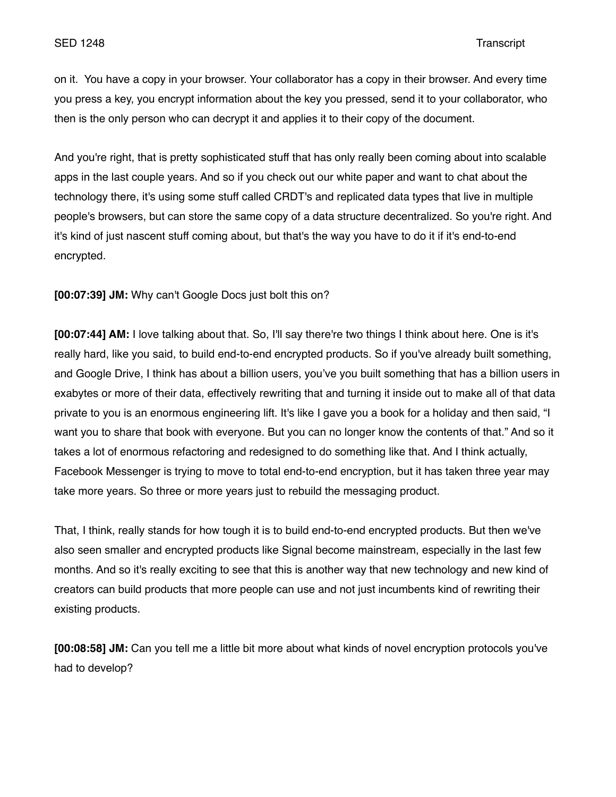on it. You have a copy in your browser. Your collaborator has a copy in their browser. And every time you press a key, you encrypt information about the key you pressed, send it to your collaborator, who then is the only person who can decrypt it and applies it to their copy of the document.

And you're right, that is pretty sophisticated stuff that has only really been coming about into scalable apps in the last couple years. And so if you check out our white paper and want to chat about the technology there, it's using some stuff called CRDT's and replicated data types that live in multiple people's browsers, but can store the same copy of a data structure decentralized. So you're right. And it's kind of just nascent stuff coming about, but that's the way you have to do it if it's end-to-end encrypted.

**[00:07:39] JM:** Why can't Google Docs just bolt this on?

**[00:07:44] AM:** I love talking about that. So, I'll say there're two things I think about here. One is it's really hard, like you said, to build end-to-end encrypted products. So if you've already built something, and Google Drive, I think has about a billion users, you've you built something that has a billion users in exabytes or more of their data, effectively rewriting that and turning it inside out to make all of that data private to you is an enormous engineering lift. It's like I gave you a book for a holiday and then said, "I want you to share that book with everyone. But you can no longer know the contents of that." And so it takes a lot of enormous refactoring and redesigned to do something like that. And I think actually, Facebook Messenger is trying to move to total end-to-end encryption, but it has taken three year may take more years. So three or more years just to rebuild the messaging product.

That, I think, really stands for how tough it is to build end-to-end encrypted products. But then we've also seen smaller and encrypted products like Signal become mainstream, especially in the last few months. And so it's really exciting to see that this is another way that new technology and new kind of creators can build products that more people can use and not just incumbents kind of rewriting their existing products.

**[00:08:58] JM:** Can you tell me a little bit more about what kinds of novel encryption protocols you've had to develop?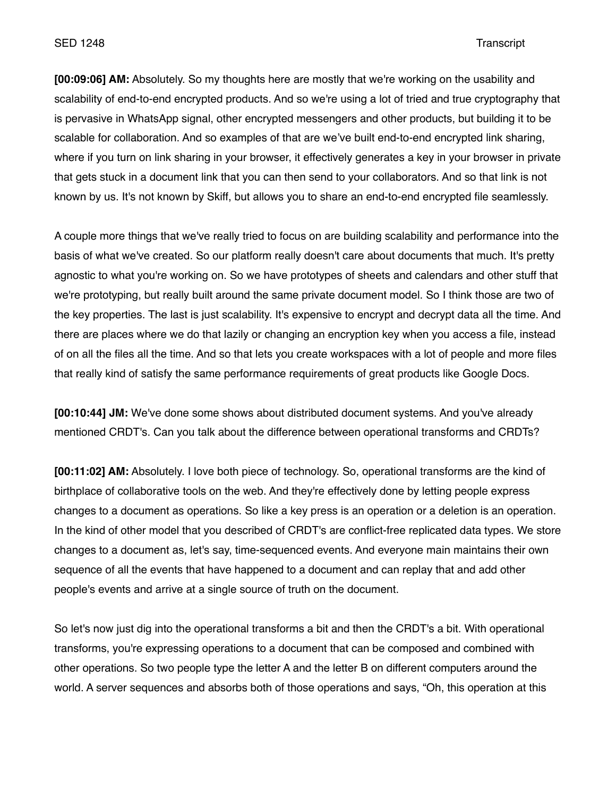**[00:09:06] AM:** Absolutely. So my thoughts here are mostly that we're working on the usability and scalability of end-to-end encrypted products. And so we're using a lot of tried and true cryptography that is pervasive in WhatsApp signal, other encrypted messengers and other products, but building it to be scalable for collaboration. And so examples of that are we've built end-to-end encrypted link sharing, where if you turn on link sharing in your browser, it effectively generates a key in your browser in private that gets stuck in a document link that you can then send to your collaborators. And so that link is not known by us. It's not known by Skiff, but allows you to share an end-to-end encrypted file seamlessly.

A couple more things that we've really tried to focus on are building scalability and performance into the basis of what we've created. So our platform really doesn't care about documents that much. It's pretty agnostic to what you're working on. So we have prototypes of sheets and calendars and other stuff that we're prototyping, but really built around the same private document model. So I think those are two of the key properties. The last is just scalability. It's expensive to encrypt and decrypt data all the time. And there are places where we do that lazily or changing an encryption key when you access a file, instead of on all the files all the time. And so that lets you create workspaces with a lot of people and more files that really kind of satisfy the same performance requirements of great products like Google Docs.

**[00:10:44] JM:** We've done some shows about distributed document systems. And you've already mentioned CRDT's. Can you talk about the difference between operational transforms and CRDTs?

**[00:11:02] AM:** Absolutely. I love both piece of technology. So, operational transforms are the kind of birthplace of collaborative tools on the web. And they're effectively done by letting people express changes to a document as operations. So like a key press is an operation or a deletion is an operation. In the kind of other model that you described of CRDT's are conflict-free replicated data types. We store changes to a document as, let's say, time-sequenced events. And everyone main maintains their own sequence of all the events that have happened to a document and can replay that and add other people's events and arrive at a single source of truth on the document.

So let's now just dig into the operational transforms a bit and then the CRDT's a bit. With operational transforms, you're expressing operations to a document that can be composed and combined with other operations. So two people type the letter A and the letter B on different computers around the world. A server sequences and absorbs both of those operations and says, "Oh, this operation at this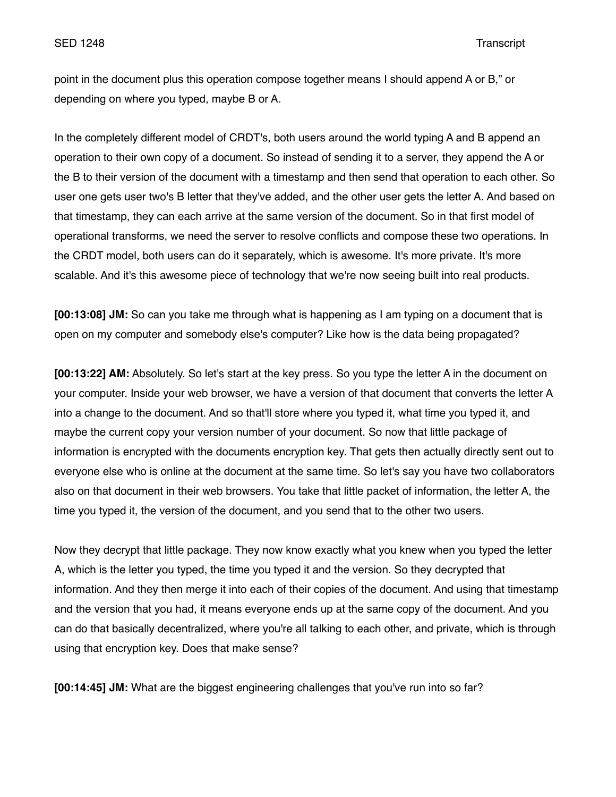point in the document plus this operation compose together means I should append A or B," or depending on where you typed, maybe B or A.

In the completely different model of CRDT's, both users around the world typing A and B append an operation to their own copy of a document. So instead of sending it to a server, they append the A or the B to their version of the document with a timestamp and then send that operation to each other. So user one gets user two's B letter that they've added, and the other user gets the letter A. And based on that timestamp, they can each arrive at the same version of the document. So in that first model of operational transforms, we need the server to resolve conflicts and compose these two operations. In the CRDT model, both users can do it separately, which is awesome. It's more private. It's more scalable. And it's this awesome piece of technology that we're now seeing built into real products.

**[00:13:08] JM:** So can you take me through what is happening as I am typing on a document that is open on my computer and somebody else's computer? Like how is the data being propagated?

**[00:13:22] AM:** Absolutely. So let's start at the key press. So you type the letter A in the document on your computer. Inside your web browser, we have a version of that document that converts the letter A into a change to the document. And so that'll store where you typed it, what time you typed it, and maybe the current copy your version number of your document. So now that little package of information is encrypted with the documents encryption key. That gets then actually directly sent out to everyone else who is online at the document at the same time. So let's say you have two collaborators also on that document in their web browsers. You take that little packet of information, the letter A, the time you typed it, the version of the document, and you send that to the other two users.

Now they decrypt that little package. They now know exactly what you knew when you typed the letter A, which is the letter you typed, the time you typed it and the version. So they decrypted that information. And they then merge it into each of their copies of the document. And using that timestamp and the version that you had, it means everyone ends up at the same copy of the document. And you can do that basically decentralized, where you're all talking to each other, and private, which is through using that encryption key. Does that make sense?

**[00:14:45] JM:** What are the biggest engineering challenges that you've run into so far?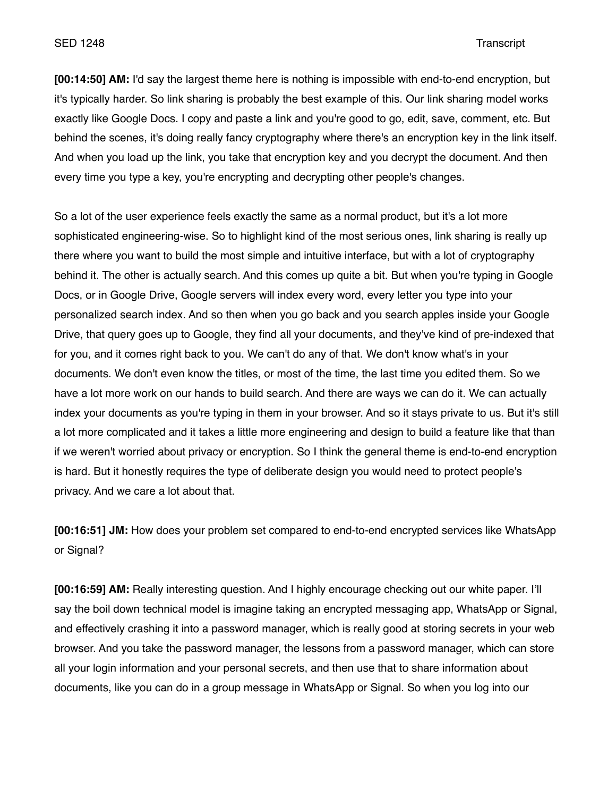# SED 1248 Transcript

**[00:14:50] AM:** I'd say the largest theme here is nothing is impossible with end-to-end encryption, but it's typically harder. So link sharing is probably the best example of this. Our link sharing model works exactly like Google Docs. I copy and paste a link and you're good to go, edit, save, comment, etc. But behind the scenes, it's doing really fancy cryptography where there's an encryption key in the link itself. And when you load up the link, you take that encryption key and you decrypt the document. And then every time you type a key, you're encrypting and decrypting other people's changes.

So a lot of the user experience feels exactly the same as a normal product, but it's a lot more sophisticated engineering-wise. So to highlight kind of the most serious ones, link sharing is really up there where you want to build the most simple and intuitive interface, but with a lot of cryptography behind it. The other is actually search. And this comes up quite a bit. But when you're typing in Google Docs, or in Google Drive, Google servers will index every word, every letter you type into your personalized search index. And so then when you go back and you search apples inside your Google Drive, that query goes up to Google, they find all your documents, and they've kind of pre-indexed that for you, and it comes right back to you. We can't do any of that. We don't know what's in your documents. We don't even know the titles, or most of the time, the last time you edited them. So we have a lot more work on our hands to build search. And there are ways we can do it. We can actually index your documents as you're typing in them in your browser. And so it stays private to us. But it's still a lot more complicated and it takes a little more engineering and design to build a feature like that than if we weren't worried about privacy or encryption. So I think the general theme is end-to-end encryption is hard. But it honestly requires the type of deliberate design you would need to protect people's privacy. And we care a lot about that.

**[00:16:51] JM:** How does your problem set compared to end-to-end encrypted services like WhatsApp or Signal?

**[00:16:59] AM:** Really interesting question. And I highly encourage checking out our white paper. I'll say the boil down technical model is imagine taking an encrypted messaging app, WhatsApp or Signal, and effectively crashing it into a password manager, which is really good at storing secrets in your web browser. And you take the password manager, the lessons from a password manager, which can store all your login information and your personal secrets, and then use that to share information about documents, like you can do in a group message in WhatsApp or Signal. So when you log into our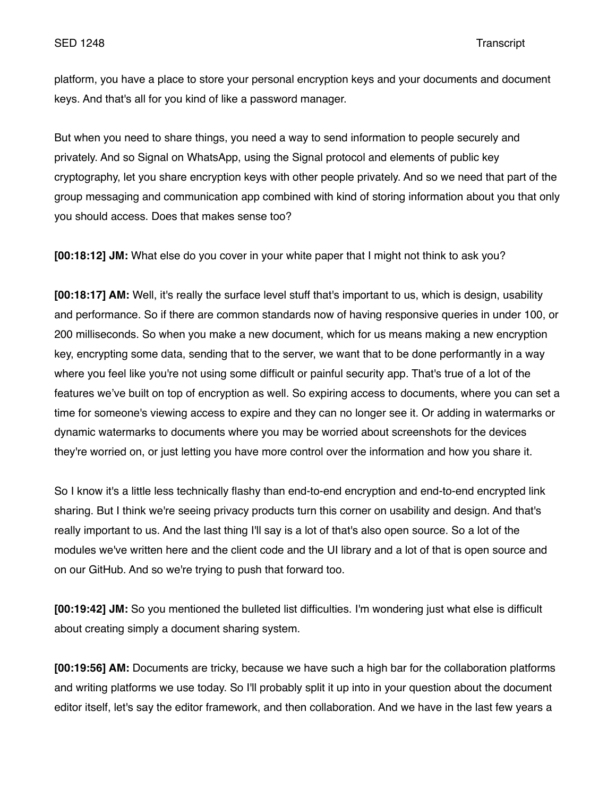platform, you have a place to store your personal encryption keys and your documents and document keys. And that's all for you kind of like a password manager.

But when you need to share things, you need a way to send information to people securely and privately. And so Signal on WhatsApp, using the Signal protocol and elements of public key cryptography, let you share encryption keys with other people privately. And so we need that part of the group messaging and communication app combined with kind of storing information about you that only you should access. Does that makes sense too?

**[00:18:12] JM:** What else do you cover in your white paper that I might not think to ask you?

**[00:18:17] AM:** Well, it's really the surface level stuff that's important to us, which is design, usability and performance. So if there are common standards now of having responsive queries in under 100, or 200 milliseconds. So when you make a new document, which for us means making a new encryption key, encrypting some data, sending that to the server, we want that to be done performantly in a way where you feel like you're not using some difficult or painful security app. That's true of a lot of the features we've built on top of encryption as well. So expiring access to documents, where you can set a time for someone's viewing access to expire and they can no longer see it. Or adding in watermarks or dynamic watermarks to documents where you may be worried about screenshots for the devices they're worried on, or just letting you have more control over the information and how you share it.

So I know it's a little less technically flashy than end-to-end encryption and end-to-end encrypted link sharing. But I think we're seeing privacy products turn this corner on usability and design. And that's really important to us. And the last thing I'll say is a lot of that's also open source. So a lot of the modules we've written here and the client code and the UI library and a lot of that is open source and on our GitHub. And so we're trying to push that forward too.

**[00:19:42] JM:** So you mentioned the bulleted list difficulties. I'm wondering just what else is difficult about creating simply a document sharing system.

**[00:19:56] AM:** Documents are tricky, because we have such a high bar for the collaboration platforms and writing platforms we use today. So I'll probably split it up into in your question about the document editor itself, let's say the editor framework, and then collaboration. And we have in the last few years a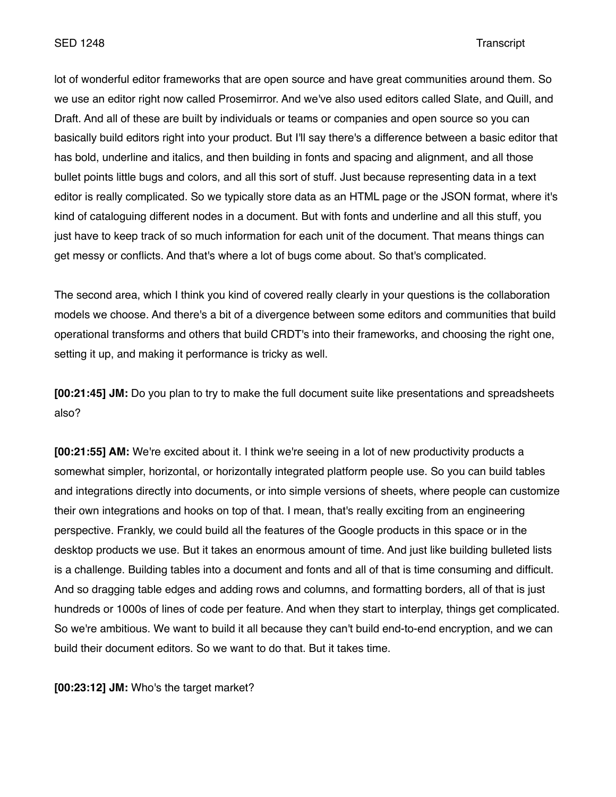lot of wonderful editor frameworks that are open source and have great communities around them. So we use an editor right now called Prosemirror. And we've also used editors called Slate, and Quill, and Draft. And all of these are built by individuals or teams or companies and open source so you can basically build editors right into your product. But I'll say there's a difference between a basic editor that has bold, underline and italics, and then building in fonts and spacing and alignment, and all those bullet points little bugs and colors, and all this sort of stuff. Just because representing data in a text editor is really complicated. So we typically store data as an HTML page or the JSON format, where it's kind of cataloguing different nodes in a document. But with fonts and underline and all this stuff, you just have to keep track of so much information for each unit of the document. That means things can get messy or conflicts. And that's where a lot of bugs come about. So that's complicated.

The second area, which I think you kind of covered really clearly in your questions is the collaboration models we choose. And there's a bit of a divergence between some editors and communities that build operational transforms and others that build CRDT's into their frameworks, and choosing the right one, setting it up, and making it performance is tricky as well.

**[00:21:45] JM:** Do you plan to try to make the full document suite like presentations and spreadsheets also?

**[00:21:55] AM:** We're excited about it. I think we're seeing in a lot of new productivity products a somewhat simpler, horizontal, or horizontally integrated platform people use. So you can build tables and integrations directly into documents, or into simple versions of sheets, where people can customize their own integrations and hooks on top of that. I mean, that's really exciting from an engineering perspective. Frankly, we could build all the features of the Google products in this space or in the desktop products we use. But it takes an enormous amount of time. And just like building bulleted lists is a challenge. Building tables into a document and fonts and all of that is time consuming and difficult. And so dragging table edges and adding rows and columns, and formatting borders, all of that is just hundreds or 1000s of lines of code per feature. And when they start to interplay, things get complicated. So we're ambitious. We want to build it all because they can't build end-to-end encryption, and we can build their document editors. So we want to do that. But it takes time.

**[00:23:12] JM:** Who's the target market?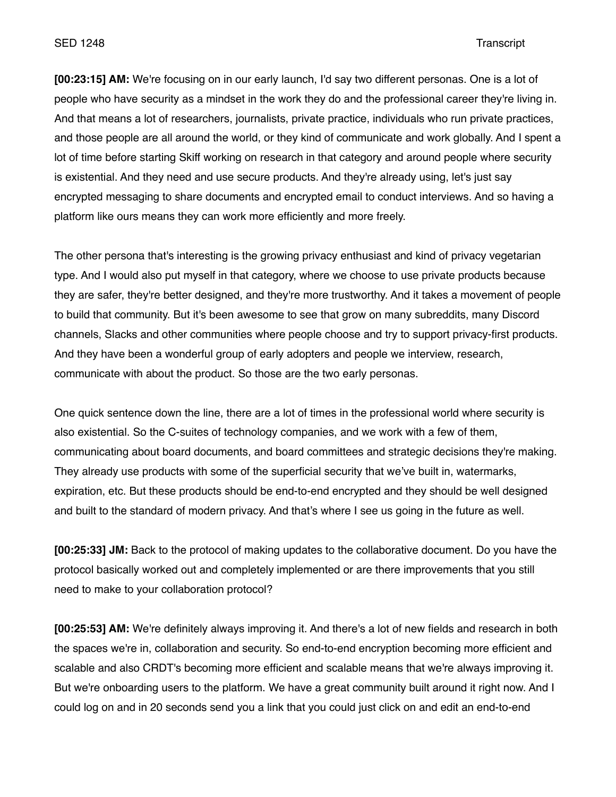SED 1248 Transcript

**[00:23:15] AM:** We're focusing on in our early launch, I'd say two different personas. One is a lot of people who have security as a mindset in the work they do and the professional career they're living in. And that means a lot of researchers, journalists, private practice, individuals who run private practices, and those people are all around the world, or they kind of communicate and work globally. And I spent a lot of time before starting Skiff working on research in that category and around people where security is existential. And they need and use secure products. And they're already using, let's just say encrypted messaging to share documents and encrypted email to conduct interviews. And so having a platform like ours means they can work more efficiently and more freely.

The other persona that's interesting is the growing privacy enthusiast and kind of privacy vegetarian type. And I would also put myself in that category, where we choose to use private products because they are safer, they're better designed, and they're more trustworthy. And it takes a movement of people to build that community. But it's been awesome to see that grow on many subreddits, many Discord channels, Slacks and other communities where people choose and try to support privacy-first products. And they have been a wonderful group of early adopters and people we interview, research, communicate with about the product. So those are the two early personas.

One quick sentence down the line, there are a lot of times in the professional world where security is also existential. So the C-suites of technology companies, and we work with a few of them, communicating about board documents, and board committees and strategic decisions they're making. They already use products with some of the superficial security that we've built in, watermarks, expiration, etc. But these products should be end-to-end encrypted and they should be well designed and built to the standard of modern privacy. And that's where I see us going in the future as well.

**[00:25:33] JM:** Back to the protocol of making updates to the collaborative document. Do you have the protocol basically worked out and completely implemented or are there improvements that you still need to make to your collaboration protocol?

**[00:25:53] AM:** We're definitely always improving it. And there's a lot of new fields and research in both the spaces we're in, collaboration and security. So end-to-end encryption becoming more efficient and scalable and also CRDT's becoming more efficient and scalable means that we're always improving it. But we're onboarding users to the platform. We have a great community built around it right now. And I could log on and in 20 seconds send you a link that you could just click on and edit an end-to-end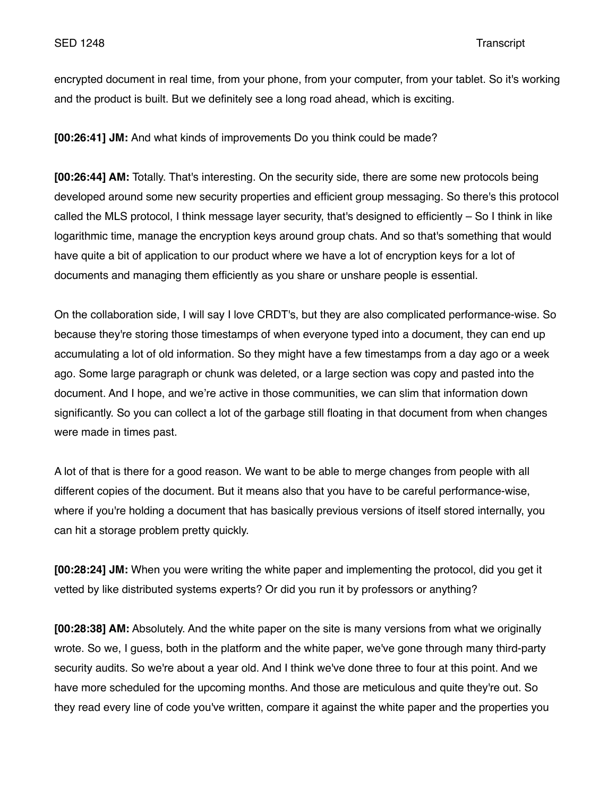encrypted document in real time, from your phone, from your computer, from your tablet. So it's working and the product is built. But we definitely see a long road ahead, which is exciting.

**[00:26:41] JM:** And what kinds of improvements Do you think could be made?

**[00:26:44] AM:** Totally. That's interesting. On the security side, there are some new protocols being developed around some new security properties and efficient group messaging. So there's this protocol called the MLS protocol, I think message layer security, that's designed to efficiently – So I think in like logarithmic time, manage the encryption keys around group chats. And so that's something that would have quite a bit of application to our product where we have a lot of encryption keys for a lot of documents and managing them efficiently as you share or unshare people is essential.

On the collaboration side, I will say I love CRDT's, but they are also complicated performance-wise. So because they're storing those timestamps of when everyone typed into a document, they can end up accumulating a lot of old information. So they might have a few timestamps from a day ago or a week ago. Some large paragraph or chunk was deleted, or a large section was copy and pasted into the document. And I hope, and we're active in those communities, we can slim that information down significantly. So you can collect a lot of the garbage still floating in that document from when changes were made in times past.

A lot of that is there for a good reason. We want to be able to merge changes from people with all different copies of the document. But it means also that you have to be careful performance-wise, where if you're holding a document that has basically previous versions of itself stored internally, you can hit a storage problem pretty quickly.

**[00:28:24] JM:** When you were writing the white paper and implementing the protocol, did you get it vetted by like distributed systems experts? Or did you run it by professors or anything?

**[00:28:38] AM:** Absolutely. And the white paper on the site is many versions from what we originally wrote. So we, I guess, both in the platform and the white paper, we've gone through many third-party security audits. So we're about a year old. And I think we've done three to four at this point. And we have more scheduled for the upcoming months. And those are meticulous and quite they're out. So they read every line of code you've written, compare it against the white paper and the properties you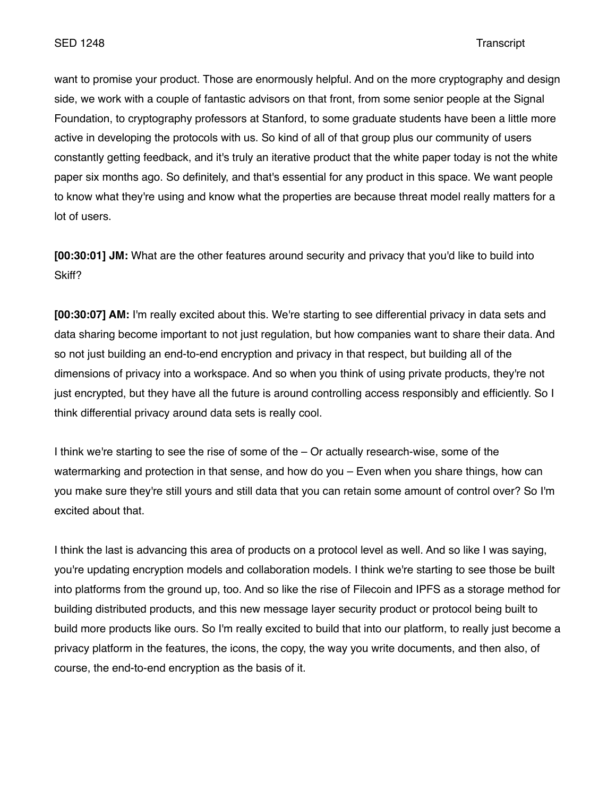want to promise your product. Those are enormously helpful. And on the more cryptography and design side, we work with a couple of fantastic advisors on that front, from some senior people at the Signal Foundation, to cryptography professors at Stanford, to some graduate students have been a little more active in developing the protocols with us. So kind of all of that group plus our community of users constantly getting feedback, and it's truly an iterative product that the white paper today is not the white paper six months ago. So definitely, and that's essential for any product in this space. We want people to know what they're using and know what the properties are because threat model really matters for a lot of users.

**[00:30:01] JM:** What are the other features around security and privacy that you'd like to build into Skiff?

**[00:30:07] AM:** I'm really excited about this. We're starting to see differential privacy in data sets and data sharing become important to not just regulation, but how companies want to share their data. And so not just building an end-to-end encryption and privacy in that respect, but building all of the dimensions of privacy into a workspace. And so when you think of using private products, they're not just encrypted, but they have all the future is around controlling access responsibly and efficiently. So I think differential privacy around data sets is really cool.

I think we're starting to see the rise of some of the – Or actually research-wise, some of the watermarking and protection in that sense, and how do you – Even when you share things, how can you make sure they're still yours and still data that you can retain some amount of control over? So I'm excited about that.

I think the last is advancing this area of products on a protocol level as well. And so like I was saying, you're updating encryption models and collaboration models. I think we're starting to see those be built into platforms from the ground up, too. And so like the rise of Filecoin and IPFS as a storage method for building distributed products, and this new message layer security product or protocol being built to build more products like ours. So I'm really excited to build that into our platform, to really just become a privacy platform in the features, the icons, the copy, the way you write documents, and then also, of course, the end-to-end encryption as the basis of it.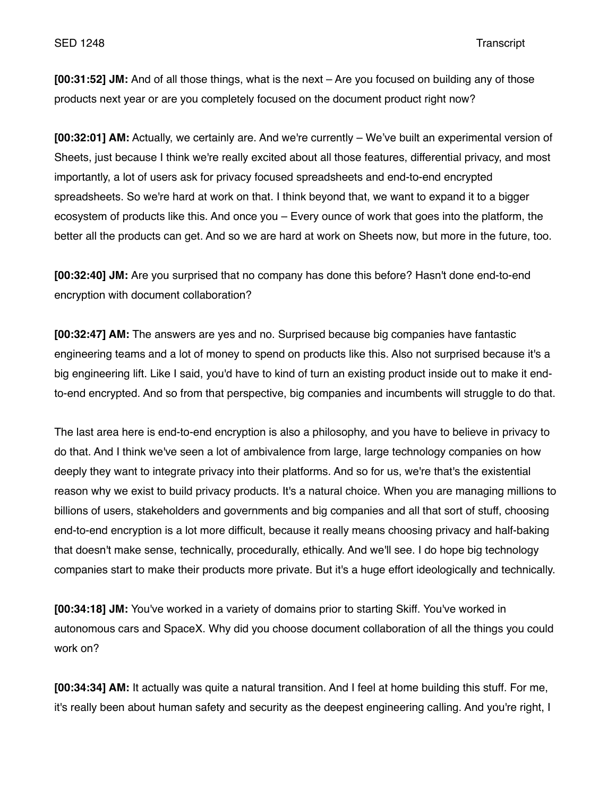**[00:31:52] JM:** And of all those things, what is the next – Are you focused on building any of those products next year or are you completely focused on the document product right now?

**[00:32:01] AM:** Actually, we certainly are. And we're currently – We've built an experimental version of Sheets, just because I think we're really excited about all those features, differential privacy, and most importantly, a lot of users ask for privacy focused spreadsheets and end-to-end encrypted spreadsheets. So we're hard at work on that. I think beyond that, we want to expand it to a bigger ecosystem of products like this. And once you – Every ounce of work that goes into the platform, the better all the products can get. And so we are hard at work on Sheets now, but more in the future, too.

**[00:32:40] JM:** Are you surprised that no company has done this before? Hasn't done end-to-end encryption with document collaboration?

**[00:32:47] AM:** The answers are yes and no. Surprised because big companies have fantastic engineering teams and a lot of money to spend on products like this. Also not surprised because it's a big engineering lift. Like I said, you'd have to kind of turn an existing product inside out to make it endto-end encrypted. And so from that perspective, big companies and incumbents will struggle to do that.

The last area here is end-to-end encryption is also a philosophy, and you have to believe in privacy to do that. And I think we've seen a lot of ambivalence from large, large technology companies on how deeply they want to integrate privacy into their platforms. And so for us, we're that's the existential reason why we exist to build privacy products. It's a natural choice. When you are managing millions to billions of users, stakeholders and governments and big companies and all that sort of stuff, choosing end-to-end encryption is a lot more difficult, because it really means choosing privacy and half-baking that doesn't make sense, technically, procedurally, ethically. And we'll see. I do hope big technology companies start to make their products more private. But it's a huge effort ideologically and technically.

**[00:34:18] JM:** You've worked in a variety of domains prior to starting Skiff. You've worked in autonomous cars and SpaceX. Why did you choose document collaboration of all the things you could work on?

**[00:34:34] AM:** It actually was quite a natural transition. And I feel at home building this stuff. For me, it's really been about human safety and security as the deepest engineering calling. And you're right, I